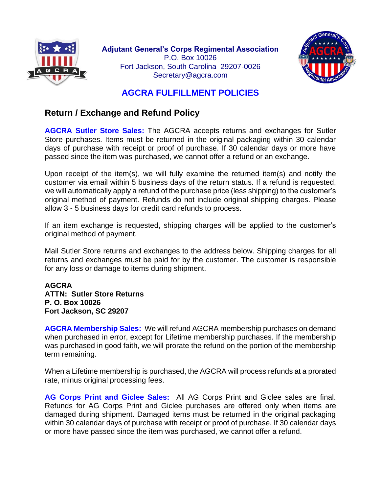



# **AGCRA FULFILLMENT POLICIES**

# **Return / Exchange and Refund Policy**

**AGCRA Sutler Store Sales:** The AGCRA accepts returns and exchanges for Sutler Store purchases. Items must be returned in the original packaging within 30 calendar days of purchase with receipt or proof of purchase. If 30 calendar days or more have passed since the item was purchased, we cannot offer a refund or an exchange.

Upon receipt of the item(s), we will fully examine the returned item(s) and notify the customer via email within 5 business days of the return status. If a refund is requested, we will automatically apply a refund of the purchase price (less shipping) to the customer's original method of payment. Refunds do not include original shipping charges. Please allow 3 - 5 business days for credit card refunds to process.

If an item exchange is requested, shipping charges will be applied to the customer's original method of payment.

Mail Sutler Store returns and exchanges to the address below. Shipping charges for all returns and exchanges must be paid for by the customer. The customer is responsible for any loss or damage to items during shipment.

**AGCRA ATTN: Sutler Store Returns P. O. Box 10026 Fort Jackson, SC 29207**

**AGCRA Membership Sales:** We will refund AGCRA membership purchases on demand when purchased in error, except for Lifetime membership purchases. If the membership was purchased in good faith, we will prorate the refund on the portion of the membership term remaining.

When a Lifetime membership is purchased, the AGCRA will process refunds at a prorated rate, minus original processing fees.

**AG Corps Print and Giclee Sales:** All AG Corps Print and Giclee sales are final. Refunds for AG Corps Print and Giclee purchases are offered only when items are damaged during shipment. Damaged items must be returned in the original packaging within 30 calendar days of purchase with receipt or proof of purchase. If 30 calendar days or more have passed since the item was purchased, we cannot offer a refund.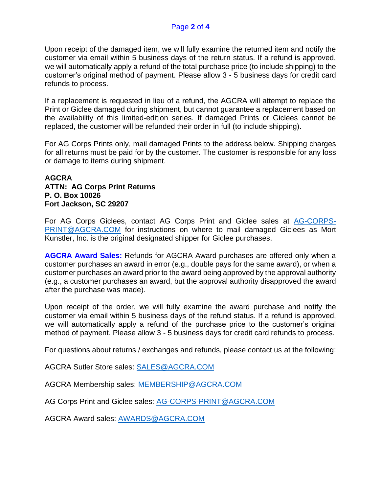### Page **2** of **4**

Upon receipt of the damaged item, we will fully examine the returned item and notify the customer via email within 5 business days of the return status. If a refund is approved, we will automatically apply a refund of the total purchase price (to include shipping) to the customer's original method of payment. Please allow 3 - 5 business days for credit card refunds to process.

If a replacement is requested in lieu of a refund, the AGCRA will attempt to replace the Print or Giclee damaged during shipment, but cannot guarantee a replacement based on the availability of this limited-edition series. If damaged Prints or Giclees cannot be replaced, the customer will be refunded their order in full (to include shipping).

For AG Corps Prints only, mail damaged Prints to the address below. Shipping charges for all returns must be paid for by the customer. The customer is responsible for any loss or damage to items during shipment.

#### **AGCRA ATTN: AG Corps Print Returns P. O. Box 10026 Fort Jackson, SC 29207**

For AG Corps Giclees, contact AG Corps Print and Giclee sales at [AG-CORPS-](mailto:AG-CORPS-PRINT@AGCRA.COM)[PRINT@AGCRA.COM](mailto:AG-CORPS-PRINT@AGCRA.COM) for instructions on where to mail damaged Giclees as Mort Kunstler, Inc. is the original designated shipper for Giclee purchases.

**AGCRA Award Sales:** Refunds for AGCRA Award purchases are offered only when a customer purchases an award in error (e.g., double pays for the same award), or when a customer purchases an award prior to the award being approved by the approval authority (e.g., a customer purchases an award, but the approval authority disapproved the award after the purchase was made).

Upon receipt of the order, we will fully examine the award purchase and notify the customer via email within 5 business days of the refund status. If a refund is approved, we will automatically apply a refund of the purchase price to the customer's original method of payment. Please allow 3 - 5 business days for credit card refunds to process.

For questions about returns / exchanges and refunds, please contact us at the following:

AGCRA Sutler Store sales: [SALES@AGCRA.COM](mailto:SALES@AGCRA.COM)

AGCRA Membership sales: [MEMBERSHIP@AGCRA.COM](mailto:MEMBERSHIP@AGCRA.COM)

AG Corps Print and Giclee sales: [AG-CORPS-PRINT@AGCRA.COM](mailto:AG-CORPS-PRINT@AGCRA.COM)

AGCRA Award sales: [AWARDS@AGCRA.COM](mailto:AWARDS@AGCRA.COM)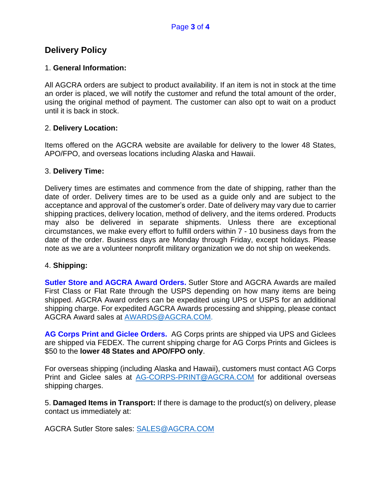## **Delivery Policy**

### 1. **General Information:**

All AGCRA orders are subject to product availability. If an item is not in stock at the time an order is placed, we will notify the customer and refund the total amount of the order, using the original method of payment. The customer can also opt to wait on a product until it is back in stock.

### 2. **Delivery Location:**

Items offered on the AGCRA website are available for delivery to the lower 48 States, APO/FPO, and overseas locations including Alaska and Hawaii.

#### 3. **Delivery Time:**

Delivery times are estimates and commence from the date of shipping, rather than the date of order. Delivery times are to be used as a guide only and are subject to the acceptance and approval of the customer's order. Date of delivery may vary due to carrier shipping practices, delivery location, method of delivery, and the items ordered. Products may also be delivered in separate shipments. Unless there are exceptional circumstances, we make every effort to fulfill orders within 7 - 10 business days from the date of the order. Business days are Monday through Friday, except holidays. Please note as we are a volunteer nonprofit military organization we do not ship on weekends.

### 4. **Shipping:**

**Sutler Store and AGCRA Award Orders.** Sutler Store and AGCRA Awards are mailed First Class or Flat Rate through the USPS depending on how many items are being shipped. AGCRA Award orders can be expedited using UPS or USPS for an additional shipping charge. For expedited AGCRA Awards processing and shipping, please contact AGCRA Award sales at [AWARDS@AGCRA.COM.](mailto:AWARDS@AGCRA.COM)

**AG Corps Print and Giclee Orders.** AG Corps prints are shipped via UPS and Giclees are shipped via FEDEX. The current shipping charge for AG Corps Prints and Giclees is \$50 to the **lower 48 States and APO/FPO only**.

For overseas shipping (including Alaska and Hawaii), customers must contact AG Corps Print and Giclee sales at [AG-CORPS-PRINT@AGCRA.COM](mailto:AG-CORPS-PRINT@AGCRA.COM) for additional overseas shipping charges.

5. **Damaged Items in Transport:** If there is damage to the product(s) on delivery, please contact us immediately at:

AGCRA Sutler Store sales: [SALES@AGCRA.COM](mailto:SALES@AGCRA.COM)